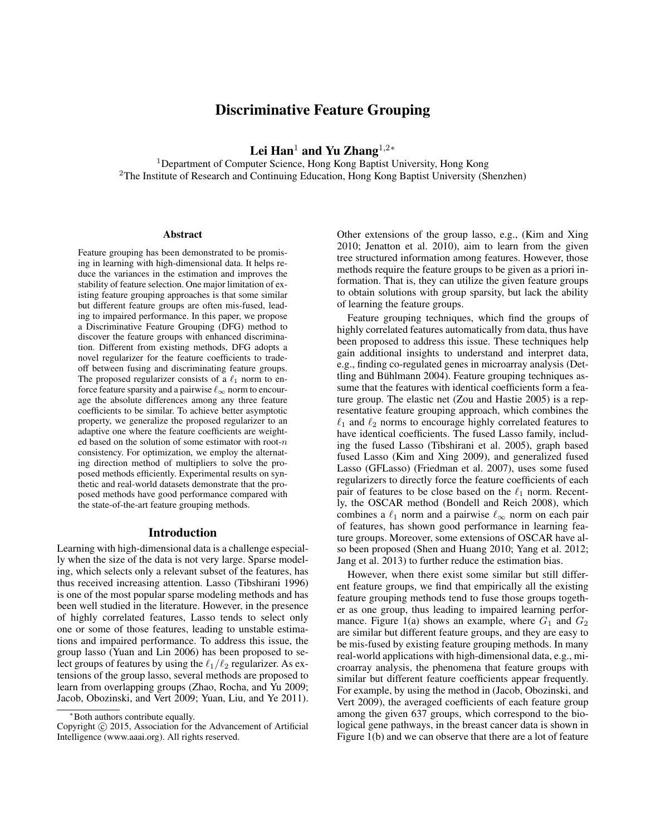# Discriminative Feature Grouping

Lei Han<sup>1</sup> and Yu Zhang<sup>1,2</sup>\*

<sup>1</sup>Department of Computer Science, Hong Kong Baptist University, Hong Kong <sup>2</sup>The Institute of Research and Continuing Education, Hong Kong Baptist University (Shenzhen)

#### **Abstract**

Feature grouping has been demonstrated to be promising in learning with high-dimensional data. It helps reduce the variances in the estimation and improves the stability of feature selection. One major limitation of existing feature grouping approaches is that some similar but different feature groups are often mis-fused, leading to impaired performance. In this paper, we propose a Discriminative Feature Grouping (DFG) method to discover the feature groups with enhanced discrimination. Different from existing methods, DFG adopts a novel regularizer for the feature coefficients to tradeoff between fusing and discriminating feature groups. The proposed regularizer consists of a  $\ell_1$  norm to enforce feature sparsity and a pairwise  $\ell_{\infty}$  norm to encourage the absolute differences among any three feature coefficients to be similar. To achieve better asymptotic property, we generalize the proposed regularizer to an adaptive one where the feature coefficients are weighted based on the solution of some estimator with root- $n$ consistency. For optimization, we employ the alternating direction method of multipliers to solve the proposed methods efficiently. Experimental results on synthetic and real-world datasets demonstrate that the proposed methods have good performance compared with the state-of-the-art feature grouping methods.

# Introduction

Learning with high-dimensional data is a challenge especially when the size of the data is not very large. Sparse modeling, which selects only a relevant subset of the features, has thus received increasing attention. Lasso (Tibshirani 1996) is one of the most popular sparse modeling methods and has been well studied in the literature. However, in the presence of highly correlated features, Lasso tends to select only one or some of those features, leading to unstable estimations and impaired performance. To address this issue, the group lasso (Yuan and Lin 2006) has been proposed to select groups of features by using the  $\ell_1/\ell_2$  regularizer. As extensions of the group lasso, several methods are proposed to learn from overlapping groups (Zhao, Rocha, and Yu 2009; Jacob, Obozinski, and Vert 2009; Yuan, Liu, and Ye 2011).

Other extensions of the group lasso, e.g., (Kim and Xing 2010; Jenatton et al. 2010), aim to learn from the given tree structured information among features. However, those methods require the feature groups to be given as a priori information. That is, they can utilize the given feature groups to obtain solutions with group sparsity, but lack the ability of learning the feature groups.

Feature grouping techniques, which find the groups of highly correlated features automatically from data, thus have been proposed to address this issue. These techniques help gain additional insights to understand and interpret data, e.g., finding co-regulated genes in microarray analysis (Dettling and Bühlmann 2004). Feature grouping techniques assume that the features with identical coefficients form a feature group. The elastic net (Zou and Hastie 2005) is a representative feature grouping approach, which combines the  $\ell_1$  and  $\ell_2$  norms to encourage highly correlated features to have identical coefficients. The fused Lasso family, including the fused Lasso (Tibshirani et al. 2005), graph based fused Lasso (Kim and Xing 2009), and generalized fused Lasso (GFLasso) (Friedman et al. 2007), uses some fused regularizers to directly force the feature coefficients of each pair of features to be close based on the  $\ell_1$  norm. Recently, the OSCAR method (Bondell and Reich 2008), which combines a  $\ell_1$  norm and a pairwise  $\ell_{\infty}$  norm on each pair of features, has shown good performance in learning feature groups. Moreover, some extensions of OSCAR have also been proposed (Shen and Huang 2010; Yang et al. 2012; Jang et al. 2013) to further reduce the estimation bias.

However, when there exist some similar but still different feature groups, we find that empirically all the existing feature grouping methods tend to fuse those groups together as one group, thus leading to impaired learning performance. Figure 1(a) shows an example, where  $G_1$  and  $G_2$ are similar but different feature groups, and they are easy to be mis-fused by existing feature grouping methods. In many real-world applications with high-dimensional data, e.g., microarray analysis, the phenomena that feature groups with similar but different feature coefficients appear frequently. For example, by using the method in (Jacob, Obozinski, and Vert 2009), the averaged coefficients of each feature group among the given 637 groups, which correspond to the biological gene pathways, in the breast cancer data is shown in Figure 1(b) and we can observe that there are a lot of feature

<sup>∗</sup>Both authors contribute equally.

Copyright © 2015, Association for the Advancement of Artificial Intelligence (www.aaai.org). All rights reserved.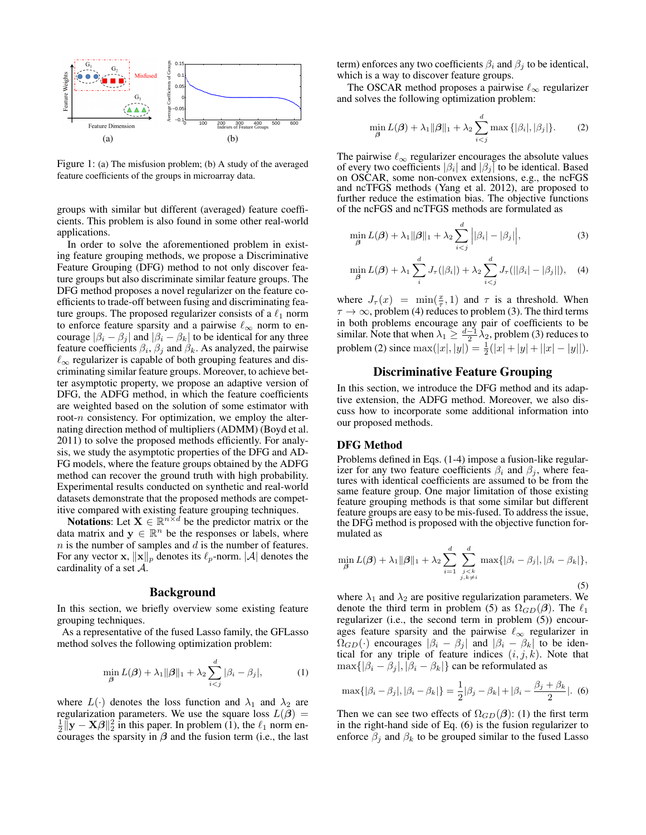

Figure 1: (a) The misfusion problem; (b) A study of the averaged feature coefficients of the groups in microarray data.

groups with similar but different (averaged) feature coefficients. This problem is also found in some other real-world applications.

In order to solve the aforementioned problem in existing feature grouping methods, we propose a Discriminative Feature Grouping (DFG) method to not only discover feature groups but also discriminate similar feature groups. The DFG method proposes a novel regularizer on the feature coefficients to trade-off between fusing and discriminating feature groups. The proposed regularizer consists of a  $\ell_1$  norm to enforce feature sparsity and a pairwise  $\ell_{\infty}$  norm to encourage  $|\beta_i - \beta_j|$  and  $|\beta_i - \beta_k|$  to be identical for any three feature coefficients  $\beta_i$ ,  $\beta_j$  and  $\beta_k$ . As analyzed, the pairwise  $\ell_{\infty}$  regularizer is capable of both grouping features and discriminating similar feature groups. Moreover, to achieve better asymptotic property, we propose an adaptive version of DFG, the ADFG method, in which the feature coefficients are weighted based on the solution of some estimator with root- $n$  consistency. For optimization, we employ the alternating direction method of multipliers (ADMM) (Boyd et al. 2011) to solve the proposed methods efficiently. For analysis, we study the asymptotic properties of the DFG and AD-FG models, where the feature groups obtained by the ADFG method can recover the ground truth with high probability. Experimental results conducted on synthetic and real-world datasets demonstrate that the proposed methods are competitive compared with existing feature grouping techniques.

**Notations:** Let  $X \in \mathbb{R}^{n \times d}$  be the predictor matrix or the data matrix and  $y \in \mathbb{R}^n$  be the responses or labels, where  $n$  is the number of samples and  $d$  is the number of features. For any vector **x**,  $\|\mathbf{x}\|_p$  denotes its  $\ell_p$ -norm.  $|\mathcal{A}|$  denotes the cardinality of a set A.

### Background

In this section, we briefly overview some existing feature grouping techniques.

As a representative of the fused Lasso family, the GFLasso method solves the following optimization problem:

$$
\min_{\boldsymbol{\beta}} L(\boldsymbol{\beta}) + \lambda_1 \|\boldsymbol{\beta}\|_1 + \lambda_2 \sum_{i < j}^d |\beta_i - \beta_j|,\tag{1}
$$

where  $L(\cdot)$  denotes the loss function and  $\lambda_1$  and  $\lambda_2$  are regularization parameters. We use the square loss  $L(\beta)$  =  $\frac{1}{2} \|\mathbf{y} - \mathbf{X}\boldsymbol{\beta}\|^2_2$  in this paper. In problem (1), the  $\ell_1$  norm encourages the sparsity in  $\beta$  and the fusion term (i.e., the last term) enforces any two coefficients  $\beta_i$  and  $\beta_j$  to be identical, which is a way to discover feature groups.

The OSCAR method proposes a pairwise  $\ell_{\infty}$  regularizer and solves the following optimization problem:

$$
\min_{\boldsymbol{\beta}} L(\boldsymbol{\beta}) + \lambda_1 \|\boldsymbol{\beta}\|_1 + \lambda_2 \sum_{i < j}^d \max\left\{|\beta_i|, |\beta_j|\right\}.\tag{2}
$$

The pairwise  $\ell_{\infty}$  regularizer encourages the absolute values of every two coefficients  $|\beta_i|$  and  $|\beta_j|$  to be identical. Based on OSCAR, some non-convex extensions, e.g., the ncFGS and ncTFGS methods (Yang et al. 2012), are proposed to further reduce the estimation bias. The objective functions of the ncFGS and ncTFGS methods are formulated as

$$
\min_{\boldsymbol{\beta}} L(\boldsymbol{\beta}) + \lambda_1 \|\boldsymbol{\beta}\|_1 + \lambda_2 \sum_{i < j}^d \left| |\beta_i| - |\beta_j| \right|,\tag{3}
$$

$$
\min_{\boldsymbol{\beta}} L(\boldsymbol{\beta}) + \lambda_1 \sum_{i}^{d} J_{\tau}(|\beta_i|) + \lambda_2 \sum_{i < j}^{d} J_{\tau}(||\beta_i| - |\beta_j||), \quad (4)
$$

where  $J_{\tau}(x) = \min(\frac{x}{\tau}, 1)$  and  $\tau$  is a threshold. When  $\tau \to \infty$ , problem (4) reduces to problem (3). The third terms in both problems encourage any pair of coefficients to be similar. Note that when  $\lambda_1 \geq \frac{d-1}{2} \lambda_2$ , problem (3) reduces to problem (2) since  $\max(|x|, |y|) = \frac{1}{2}(|x| + |y| + ||x| - |y||)$ .

# Discriminative Feature Grouping

In this section, we introduce the DFG method and its adaptive extension, the ADFG method. Moreover, we also discuss how to incorporate some additional information into our proposed methods.

# DFG Method

Problems defined in Eqs. (1-4) impose a fusion-like regularizer for any two feature coefficients  $\beta_i$  and  $\beta_j$ , where features with identical coefficients are assumed to be from the same feature group. One major limitation of those existing feature grouping methods is that some similar but different feature groups are easy to be mis-fused. To address the issue, the DFG method is proposed with the objective function formulated as

$$
\min_{\boldsymbol{\beta}} L(\boldsymbol{\beta}) + \lambda_1 \|\boldsymbol{\beta}\|_1 + \lambda_2 \sum_{i=1}^d \sum_{\substack{j < k \\ j, k \neq i}}^d \max\{|\beta_i - \beta_j|, |\beta_i - \beta_k|\},\tag{5}
$$

where  $\lambda_1$  and  $\lambda_2$  are positive regularization parameters. We denote the third term in problem (5) as  $\Omega_{GD}(\beta)$ . The  $\ell_1$ regularizer (i.e., the second term in problem (5)) encourages feature sparsity and the pairwise  $\ell_{\infty}$  regularizer in  $\Omega_{GD}(\cdot)$  encourages  $|\beta_i - \beta_j|$  and  $|\beta_i - \beta_k|$  to be identical for any triple of feature indices  $(i, j, k)$ . Note that  $\max\{|\beta_i - \beta_j|, |\beta_i - \beta_k|\}$  can be reformulated as

$$
\max\{|\beta_i - \beta_j|, |\beta_i - \beta_k|\} = \frac{1}{2}|\beta_j - \beta_k| + |\beta_i - \frac{\beta_j + \beta_k}{2}|.
$$
 (6)

Then we can see two effects of  $\Omega_{GD}(\beta)$ : (1) the first term in the right-hand side of Eq. (6) is the fusion regularizer to enforce  $\beta_i$  and  $\beta_k$  to be grouped similar to the fused Lasso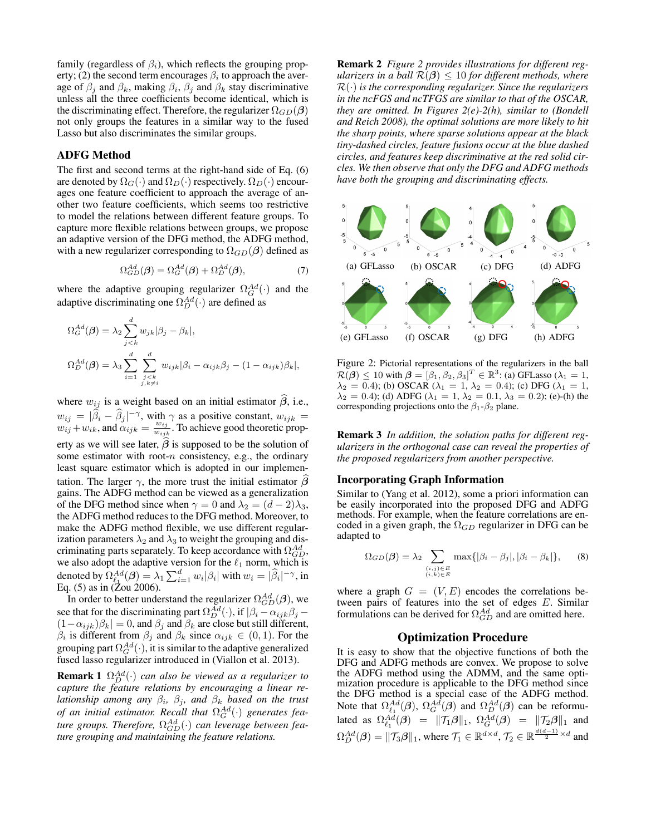family (regardless of  $\beta_i$ ), which reflects the grouping property; (2) the second term encourages  $\beta_i$  to approach the average of  $\beta_j$  and  $\beta_k$ , making  $\beta_i$ ,  $\beta_j$  and  $\beta_k$  stay discriminative unless all the three coefficients become identical, which is the discriminating effect. Therefore, the regularizer  $\Omega_{GD}(\beta)$ not only groups the features in a similar way to the fused Lasso but also discriminates the similar groups.

# ADFG Method

The first and second terms at the right-hand side of Eq. (6) are denoted by  $\Omega_G(\cdot)$  and  $\Omega_D(\cdot)$  respectively.  $\Omega_D(\cdot)$  encourages one feature coefficient to approach the average of another two feature coefficients, which seems too restrictive to model the relations between different feature groups. To capture more flexible relations between groups, we propose an adaptive version of the DFG method, the ADFG method, with a new regularizer corresponding to  $\Omega_{GD}(\beta)$  defined as

$$
\Omega_{GD}^{Ad}(\boldsymbol{\beta}) = \Omega_G^{Ad}(\boldsymbol{\beta}) + \Omega_D^{Ad}(\boldsymbol{\beta}),\tag{7}
$$

where the adaptive grouping regularizer  $\Omega_G^{Ad}(\cdot)$  and the adaptive discriminating one  $\Omega_D^{Ad}(\cdot)$  are defined as

$$
\Omega_G^{Ad}(\beta) = \lambda_2 \sum_{j < k}^d w_{jk} |\beta_j - \beta_k|,
$$
\n
$$
\Omega_D^{Ad}(\beta) = \lambda_3 \sum_{i=1}^d \sum_{\substack{j < k \\ j, k \neq i}}^d w_{ijk} |\beta_i - \alpha_{ijk}\beta_j - (1 - \alpha_{ijk})\beta_k|,
$$

where  $w_{ij}$  is a weight based on an initial estimator  $\beta$ , i.e.,  $w_{ij} = |\hat{\beta}_i - \hat{\beta}_j|^{-\gamma}$ , with  $\gamma$  as a positive constant,  $w_{ijk} =$  $w_{ij} + w_{ik}$ , and  $\alpha_{ijk} = \frac{w_{ij}}{w_{ij}}$  $\frac{w_{ij}}{w_{ijk}}$ . To achieve good theoretic property as we will see later,  $\beta$  is supposed to be the solution of some estimator with root- $n$  consistency, e.g., the ordinary least square estimator which is adopted in our implementation. The larger  $\gamma$ , the more trust the initial estimator  $\beta$ gains. The ADFG method can be viewed as a generalization of the DFG method since when  $\gamma = 0$  and  $\lambda_2 = (d - 2)\lambda_3$ , the ADFG method reduces to the DFG method. Moreover, to make the ADFG method flexible, we use different regularization parameters  $\lambda_2$  and  $\lambda_3$  to weight the grouping and discriminating parts separately. To keep accordance with  $\Omega_{GD}^{Ad}$ , we also adopt the adaptive version for the  $\ell_1$  norm, which is denoted by  $\Omega_{\ell_1}^{Ad}(\beta) = \lambda_1 \sum_{i=1}^d w_i |\beta_i|$  with  $w_i = |\widehat{\beta}_i|^{-\gamma}$ , in Eq.  $(5)$  as in  $(Zou 2006)$ .

In order to better understand the regularizer  $\Omega_{GD}^{Ad}(\beta)$ , we see that for the discriminating part  $\Omega_D^{Ad}(\cdot)$ , if  $\left|\beta_i - \alpha_{ijk}\beta_j - \alpha_{ijk}\beta_j\right|$  $(1-\alpha_{ijk})\beta_k| = 0$ , and  $\beta_j$  and  $\beta_k$  are close but still different,  $\beta_i$  is different from  $\beta_j$  and  $\beta_k$  since  $\alpha_{ijk} \in (0,1)$ . For the grouping part  $\Omega_G^{Ad}(\cdot)$ , it is similar to the adaptive generalized fused lasso regularizer introduced in (Viallon et al. 2013).

**Remark 1**  $\Omega_D^{Ad}(\cdot)$  *can also be viewed as a regularizer to capture the feature relations by encouraging a linear relationship among any* β<sup>i</sup> *,* β<sup>j</sup> *, and* β<sup>k</sup> *based on the trust of an initial estimator. Recall that*  $\Omega_G^{Ad}(\cdot)$  generates feature groups. Therefore,  $\Omega_{GD}^{Ad}(\cdot)$  can leverage between fea*ture grouping and maintaining the feature relations.*

Remark 2 *Figure 2 provides illustrations for different regularizers in a ball*  $\mathcal{R}(\beta) \leq 10$  *for different methods, where* R(·) *is the corresponding regularizer. Since the regularizers in the ncFGS and ncTFGS are similar to that of the OSCAR, they are omitted. In Figures 2(e)-2(h), similar to (Bondell and Reich 2008), the optimal solutions are more likely to hit the sharp points, where sparse solutions appear at the black tiny-dashed circles, feature fusions occur at the blue dashed circles, and features keep discriminative at the red solid circles. We then observe that only the DFG and ADFG methods have both the grouping and discriminating effects.*



Figure 2: Pictorial representations of the regularizers in the ball  $\mathcal{R}(\boldsymbol{\beta}) \leq 10$  with  $\boldsymbol{\beta} = [\beta_1, \beta_2, \beta_3]^T \in \mathbb{R}^3$ : (a) GFLasso ( $\lambda_1 = 1$ ,  $\lambda_2 = 0.4$ ); (b) OSCAR ( $\lambda_1 = 1$ ,  $\lambda_2 = 0.4$ ); (c) DFG ( $\lambda_1 = 1$ ,  $\lambda_2 = 0.4$ ); (d) ADFG ( $\lambda_1 = 1$ ,  $\lambda_2 = 0.1$ ,  $\lambda_3 = 0.2$ ); (e)-(h) the corresponding projections onto the  $\beta_1$ - $\beta_2$  plane.

Remark 3 *In addition, the solution paths for different regularizers in the orthogonal case can reveal the properties of the proposed regularizers from another perspective.*

#### Incorporating Graph Information

Similar to (Yang et al. 2012), some a priori information can be easily incorporated into the proposed DFG and ADFG methods. For example, when the feature correlations are encoded in a given graph, the  $\Omega_{GD}$  regularizer in DFG can be adapted to

$$
\Omega_{GD}(\boldsymbol{\beta}) = \lambda_2 \sum_{\substack{(i,j) \in E \\ (i,k) \in E}} \max\{ |\beta_i - \beta_j|, |\beta_i - \beta_k| \}, \quad (8)
$$

where a graph  $G = (V, E)$  encodes the correlations between pairs of features into the set of edges E. Similar formulations can be derived for  $\Omega_{GD}^{Ad}$  and are omitted here.

### Optimization Procedure

It is easy to show that the objective functions of both the DFG and ADFG methods are convex. We propose to solve the ADFG method using the ADMM, and the same optimization procedure is applicable to the DFG method since the DFG method is a special case of the ADFG method. Note that  $\Omega_{\ell_1}^{Ad}(\beta)$ ,  $\Omega_G^{Ad}(\beta)$  and  $\Omega_D^{Ad}(\beta)$  can be reformulated as  $\Omega_{\ell_1}^{Ad}(\beta) = ||\mathcal{T}_1\beta||_1$ ,  $\Omega_G^{Ad}(\beta) = ||\mathcal{T}_2\beta||_1$  and  $\Omega^{Ad}_D(\boldsymbol{\beta})=\|\mathcal{T}_3\boldsymbol{\beta}\|_1,$  where  $\mathcal{T}_1\in\mathbb{R}^{d\times d},$   $\mathcal{T}_2\in\mathbb{R}^{\frac{d(d-1)}{2}\times d}$  and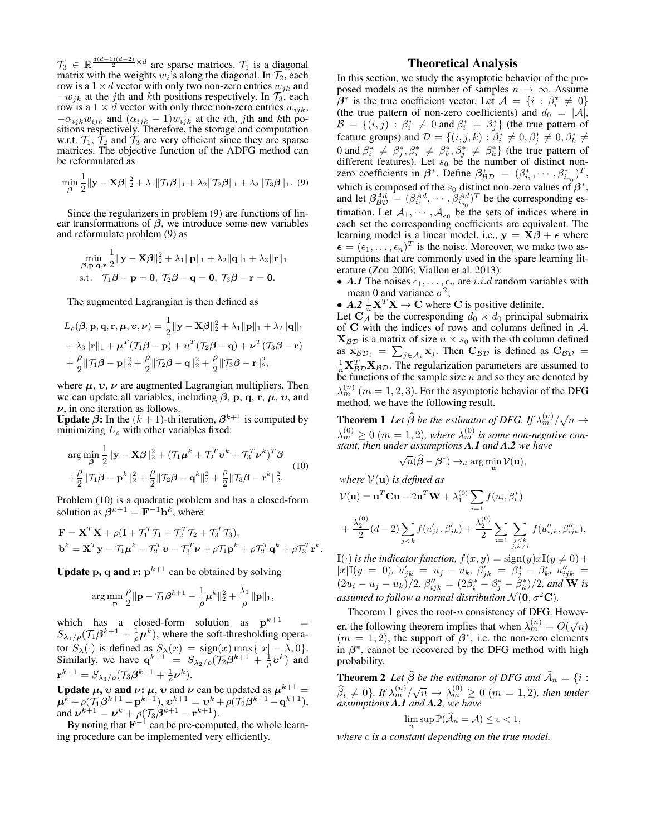$\mathcal{T}_3 \in \mathbb{R}^{\frac{d(d-1)(d-2)}{2} \times d}$  are sparse matrices.  $\mathcal{T}_1$  is a diagonal matrix with the weights  $w_i$ 's along the diagonal. In  $\mathcal{T}_2$ , each row is a  $1 \times d$  vector with only two non-zero entries  $w_{jk}$  and  $-w_{jk}$  at the jth and kth positions respectively. In  $\mathcal{T}_3$ , each row is a  $1 \times d$  vector with only three non-zero entries  $w_{ijk}$ ,  $-\alpha_{ijk}w_{ijk}$  and  $(\alpha_{ijk}-1)w_{ijk}$  at the *i*th, *j*th and *k*th positions respectively. Therefore, the storage and computation w.r.t.  $\mathcal{T}_1$ ,  $\mathcal{T}_2$  and  $\mathcal{T}_3$  are very efficient since they are sparse matrices. The objective function of the ADFG method can be reformulated as

$$
\min_{\beta} \frac{1}{2} \|\mathbf{y} - \mathbf{X}\boldsymbol{\beta}\|_{2}^{2} + \lambda_{1} \|\mathcal{T}_{1}\boldsymbol{\beta}\|_{1} + \lambda_{2} \|\mathcal{T}_{2}\boldsymbol{\beta}\|_{1} + \lambda_{3} \|\mathcal{T}_{3}\boldsymbol{\beta}\|_{1}.
$$
 (9)

Since the regularizers in problem (9) are functions of linear transformations of  $\beta$ , we introduce some new variables and reformulate problem (9) as

$$
\min_{\boldsymbol{\beta},\mathbf{p},\mathbf{q},\mathbf{r}} \frac{1}{2} \|\mathbf{y} - \mathbf{X}\boldsymbol{\beta}\|_2^2 + \lambda_1 \|\mathbf{p}\|_1 + \lambda_2 \|\mathbf{q}\|_1 + \lambda_3 \|\mathbf{r}\|_1
$$
  
s.t.  $\mathcal{T}_1 \boldsymbol{\beta} - \mathbf{p} = \mathbf{0}, \ \mathcal{T}_2 \boldsymbol{\beta} - \mathbf{q} = \mathbf{0}, \ \mathcal{T}_3 \boldsymbol{\beta} - \mathbf{r} = \mathbf{0}.$ 

The augmented Lagrangian is then defined as

$$
L_{\rho}(\boldsymbol{\beta}, \mathbf{p}, \mathbf{q}, \mathbf{r}, \boldsymbol{\mu}, \boldsymbol{\upsilon}, \boldsymbol{\nu}) = \frac{1}{2} \|\mathbf{y} - \mathbf{X}\boldsymbol{\beta}\|_{2}^{2} + \lambda_{1} \|\mathbf{p}\|_{1} + \lambda_{2} \|\mathbf{q}\|_{1}
$$
  
+  $\lambda_{3} \|\mathbf{r}\|_{1} + \boldsymbol{\mu}^{T}(\mathcal{T}_{1}\boldsymbol{\beta} - \mathbf{p}) + \boldsymbol{\upsilon}^{T}(\mathcal{T}_{2}\boldsymbol{\beta} - \mathbf{q}) + \boldsymbol{\nu}^{T}(\mathcal{T}_{3}\boldsymbol{\beta} - \mathbf{r})$   
+  $\frac{\rho}{2} \|\mathcal{T}_{1}\boldsymbol{\beta} - \mathbf{p}\|_{2}^{2} + \frac{\rho}{2} \|\mathcal{T}_{2}\boldsymbol{\beta} - \mathbf{q}\|_{2}^{2} + \frac{\rho}{2} \|\mathcal{T}_{3}\boldsymbol{\beta} - \mathbf{r}\|_{2}^{2},$ 

where  $\mu$ ,  $\upsilon$ ,  $\nu$  are augmented Lagrangian multipliers. Then we can update all variables, including  $\beta$ , p, q, r,  $\mu$ , v, and  $\nu$ , in one iteration as follows.

**Update**  $\beta$ : In the  $(k + 1)$ -th iteration,  $\beta^{k+1}$  is computed by minimizing  $L_{\rho}$  with other variables fixed:

$$
\arg\min_{\boldsymbol{\beta}} \frac{1}{2} \|\mathbf{y} - \mathbf{X}\boldsymbol{\beta}\|_{2}^{2} + (\mathcal{T}_{1}\boldsymbol{\mu}^{k} + \mathcal{T}_{2}^{T}\mathbf{v}^{k} + \mathcal{T}_{3}^{T}\mathbf{\nu}^{k})^{T}\boldsymbol{\beta} + \frac{\rho}{2} \|\mathcal{T}_{1}\boldsymbol{\beta} - \mathbf{p}^{k}\|_{2}^{2} + \frac{\rho}{2} \|\mathcal{T}_{2}\boldsymbol{\beta} - \mathbf{q}^{k}\|_{2}^{2} + \frac{\rho}{2} \|\mathcal{T}_{3}\boldsymbol{\beta} - \mathbf{r}^{k}\|_{2}^{2}.
$$
 (10)

Problem (10) is a quadratic problem and has a closed-form solution as  $\beta^{k+1} = \mathbf{F}^{-1} \mathbf{b}^k$ , where

$$
\mathbf{F} = \mathbf{X}^T \mathbf{X} + \rho (\mathbf{I} + \mathcal{T}_1^T \mathcal{T}_1 + \mathcal{T}_2^T \mathcal{T}_2 + \mathcal{T}_3^T \mathcal{T}_3),
$$
  
\n
$$
\mathbf{b}^k = \mathbf{X}^T \mathbf{y} - \mathcal{T}_1 \boldsymbol{\mu}^k - \mathcal{T}_2^T \mathbf{v} - \mathcal{T}_3^T \boldsymbol{\nu} + \rho \mathcal{T}_1 \mathbf{p}^k + \rho \mathcal{T}_2^T \mathbf{q}^k + \rho \mathcal{T}_3^T \mathbf{r}^k.
$$

**Update p, q and r:**  $p^{k+1}$  can be obtained by solving

$$
\arg\min_{\mathbf{p}} \frac{\rho}{2} \|\mathbf{p} - \mathcal{T}_1\boldsymbol{\beta}^{k+1} - \frac{1}{\rho}\boldsymbol{\mu}^k\|_2^2 + \frac{\lambda_1}{\rho} \|\mathbf{p}\|_1,
$$

which has a closed-form solution as  $p^{k+1}$  =  $S_{\lambda_1/\rho}(\mathcal{T}_1\beta^{k+1}+\frac{1}{\rho}\boldsymbol{\mu}^k)$ , where the soft-thresholding operator  $S_{\lambda}(\cdot)$  is defined as  $S_{\lambda}(x) = \text{sign}(x) \max\{|x| - \lambda, 0\}.$ Similarly, we have  $\mathbf{q}^{k+1} = S_{\lambda_2/\rho}(\mathcal{T}_2 \hat{\beta}^{k+1} + \frac{1}{\rho} v^k)$  and  $\mathbf{r}^{k+1} = S_{\lambda_3/\rho}(\mathcal{T}_3\bm{\beta}^{k+1} + \frac{1}{\rho}\bm{\nu}^k).$ 

Update  $\mu$ ,  $\upsilon$  and  $\nu$ :  $\mu$ ,  $\upsilon$  and  $\nu$  can be updated as  $\mu^{k+1}$  =  $\boldsymbol{\mu}^{\bar{k}}\!+\!\rho(\mathcal{T}_1\boldsymbol{\beta}^{k+1}\!-\!\mathbf{p}^{k+1}),\boldsymbol{v}^{k+1}=\boldsymbol{v}^k\!+\!\rho(\mathcal{T}_2\boldsymbol{\beta}^{k+1}\!-\!\mathbf{q}^{k+1}),$ and  $\boldsymbol{\nu}^{k+1} = \boldsymbol{\nu}^k + \rho(\mathcal{T}_3\boldsymbol{\beta}^{k+1} - \mathbf{r}^{k+1}).$ 

By noting that  $\mathbf{F}^{-1}$  can be pre-computed, the whole learning procedure can be implemented very efficiently.

# Theoretical Analysis

In this section, we study the asymptotic behavior of the proposed models as the number of samples  $n \to \infty$ . Assume  $\hat{\beta}^*$  is the true coefficient vector. Let  $\mathcal{A} = \{i : \beta_i^* \neq 0\}$ (the true pattern of non-zero coefficients) and  $d_0 = |A|$ ,  $\mathcal{B} = \{(i, j) : \beta_i^* \neq 0 \text{ and } \beta_i^* = \beta_j^*\}$  (the true pattern of feature groups) and  $\mathcal{D} = \{(i, j, k) : \beta_i^* \neq 0, \beta_j^* \neq 0, \beta_k^* \neq 0\}$ 0 and  $\beta_i^* \neq \beta_j^*, \beta_i^* \neq \beta_k^*, \beta_j^* \neq \beta_k^*$  (the true pattern of different features). Let  $s_0$  be the number of distinct nonzero coefficients in  $\beta^*$ . Define  $\beta^*_{BD} = (\beta^*_{i_1}, \cdots, \beta^*_{i_{s_0}})^T$ , which is composed of the  $s_0$  distinct non-zero values of  $\beta^*$ , and let  $\beta_{BD}^{Ad} = (\beta_{i_1}^{Ad}, \cdots, \beta_{i_{s_0}}^{Ad})^T$  be the corresponding estimation. Let  $A_1, \dots, A_{s_0}$  be the sets of indices where in each set the corresponding coefficients are equivalent. The learning model is a linear model, i.e.,  $y = X\beta + \epsilon$  where  $\epsilon = (\epsilon_1, \ldots, \epsilon_n)^T$  is the noise. Moreover, we make two assumptions that are commonly used in the spare learning literature (Zou 2006; Viallon et al. 2013):

- *A.1* The noises  $\epsilon_1, \ldots, \epsilon_n$  are *i.i.d* random variables with mean 0 and variance  $\sigma^2$ ;
- $A.2 \frac{1}{n} \mathbf{X}^T \mathbf{X} \rightarrow \mathbf{C}$  where C is positive definite.

Let  $\mathbf{C}_{\mathcal{A}}$  be the corresponding  $d_0 \times d_0$  principal submatrix of  $C$  with the indices of rows and columns defined in  $A$ .  $X_{\beta\mathcal{D}}$  is a matrix of size  $n \times s_0$  with the *i*th column defined as  $\mathbf{x}_{\mathcal{BD}_i} = \sum_{j \in \mathcal{A}_i} \mathbf{x}_j$ . Then  $\mathbf{C}_{\mathcal{BD}}$  is defined as  $\mathbf{C}_{\mathcal{BD}} =$  $\frac{1}{n} \mathbf{X}_{\mathcal{B}\mathcal{D}}^T \mathbf{X}_{\mathcal{B}\mathcal{D}}$ . The regularization parameters are assumed to be functions of the sample size  $n$  and so they are denoted by  $\lambda_m^{(n)}$   $(m = 1, 2, 3)$ . For the asymptotic behavior of the DFG method, we have the following result.

**Theorem 1** Let  $\widehat{\beta}$  be the estimator of DFG. If  $\lambda_m^{(n)}/\sqrt{n} \rightarrow$  $\lambda_m^{(0)} \geq 0$   $(m = 1, 2)$ , where  $\lambda_m^{(0)}$  is some non-negative con*stant, then under assumptions A.1 and A.2 we have* √

$$
\sqrt{n}(\widehat{\boldsymbol{\beta}}-\boldsymbol{\beta}^*)\rightarrow_d \arg\min_{\mathbf{u}}\mathcal{V}(\mathbf{u}),
$$

*where*  $V(\mathbf{u})$  *is defined as* 

$$
\mathcal{V}(\mathbf{u}) = \mathbf{u}^T \mathbf{C} \mathbf{u} - 2\mathbf{u}^T \mathbf{W} + \lambda_1^{(0)} \sum_{i=1} f(u_i, \beta_i^*)
$$
  
+ 
$$
\frac{\lambda_2^{(0)}}{2} (d-2) \sum_{j < k} f(u'_{jk}, \beta'_{jk}) + \frac{\lambda_2^{(0)}}{2} \sum_{i=1} \sum_{\substack{j < k \\ j, k \neq i}} f(u''_{ijk}, \beta''_{ijk}).
$$

 $\mathbb{I}(\cdot)$  *is the indicator function,*  $f(x, y) = \text{sign}(y)x\mathbb{I}(y \neq 0) + \mathbb{I}(y \neq 0)$  $|x| \mathbb{I}(y = 0), u'_{jk} = u_j - u_k, \ \beta'_{jk} = \beta_j^* - \beta_k^*, u''_{ijk} =$  $(2u_i - u_j - u_k)/2$ ,  $\beta''_{ijk} = (2\beta^*_i - \beta^*_j - \beta^*_k)/2$ , and **W** is *assumed to follow a normal distribution*  $\mathcal{N}(\mathbf{0}, \sigma^2 \mathbf{C})$ *.* 

Theorem 1 gives the root- $n$  consistency of DFG. However, the following theorem implies that when  $\lambda_m^{(n)} = O(\sqrt{n})$  $(m = 1, 2)$ , the support of  $\beta^*$ , i.e. the non-zero elements in  $\beta^*$ , cannot be recovered by the DFG method with high probability.

**Theorem 2** *Let*  $\widehat{\boldsymbol{\beta}}$  *be the estimator of DFG and*  $\widehat{\mathcal{A}}_n = \{i :$ **Example 1 C** is the element of  $\beta$  is a direct of  $\beta$ .<br>  $\widehat{\beta}_i \neq 0$ . If  $\lambda_m^{(n)}/\sqrt{n} \rightarrow \lambda_m^{(0)} \geq 0$  ( $m = 1, 2$ ), then under *assumptions A.1 and A.2, we have*

$$
\lim_{n} \sup \mathbb{P}(\widehat{\mathcal{A}}_n = \mathcal{A}) \le c < 1,
$$

*where* c *is a constant depending on the true model.*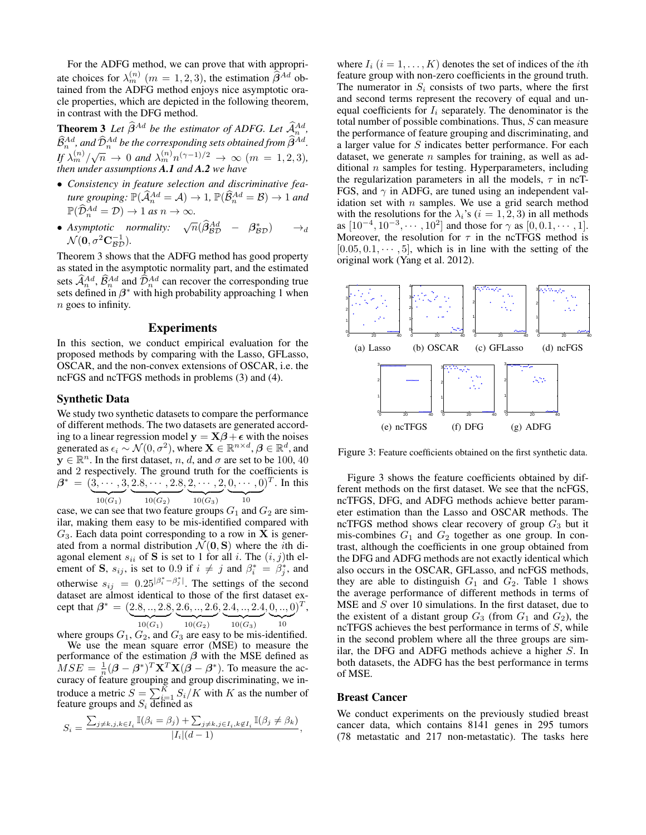For the ADFG method, we can prove that with appropriate choices for  $\lambda_m^{(n)}$  ( $m = 1, 2, 3$ ), the estimation  $\hat{\beta}^{Ad}$  obtained from the ADFG method enjoys nice asymptotic oracle properties, which are depicted in the following theorem, in contrast with the DFG method.

**Theorem 3** Let  $\widehat{\beta}^{Ad}$  be the estimator of ADFG. Let  $\widehat{\mathcal{A}}^{Ad}_{n}$ ,  $\widehat{\mathcal{B}}^{Ad}_{n}$ , and  $\widehat{\mathcal{D}}^{Ad}_{n}$  be the corresponding sets obtained from  $\widehat{\beta}^{Ad}$ .  $\iint \lambda_m^{(n)} / \sqrt{n} \to 0$  and  $\lambda_m^{(n)} n^{(\gamma-1)/2} \to \infty$   $(m = 1, 2, 3)$ , *then under assumptions A.1 and A.2 we have*

- *Consistency in feature selection and discriminative feature grouping:*  $\mathbb{P}(\widehat{\mathcal{A}}_n^{Ad} = \mathcal{A}) \to 1$ ,  $\mathbb{P}(\widehat{\mathcal{B}}_n^{Ad} = \mathcal{B}) \to 1$  *and*  $\mathbb{P}(\widehat{\mathcal{D}}_n^{Ad} = \mathcal{D}) \to 1$  *as*  $n \to \infty$ *.*
- Asymptotic normality:  $\sqrt{n}(\hat{\beta}_{BD}^{Ad} \beta_{BD}^*) \rightarrow_d$  $\mathcal{N}(\mathbf{0}, \sigma^2 \mathbf{C}_{\mathcal{BD}}^{-1}).$

Theorem 3 shows that the ADFG method has good property as stated in the asymptotic normality part, and the estimated sets  $\hat{A}_{n}^{Ad}$ ,  $\hat{B}_{n}^{Ad}$  and  $\hat{D}_{n}^{Ad}$  can recover the corresponding true sets defined in  $\beta^*$  with high probability approaching 1 when n goes to infinity.

#### Experiments

In this section, we conduct empirical evaluation for the proposed methods by comparing with the Lasso, GFLasso, OSCAR, and the non-convex extensions of OSCAR, i.e. the ncFGS and ncTFGS methods in problems (3) and (4).

#### Synthetic Data

We study two synthetic datasets to compare the performance of different methods. The two datasets are generated according to a linear regression model  $y = X\beta + \epsilon$  with the noises generated as  $\epsilon_i \sim \mathcal{N}(0, \sigma^2)$ , where  $\mathbf{X} \in \mathbb{R}^{n \times d}$ ,  $\boldsymbol{\beta} \in \mathbb{R}^d$ , and  $\mathbf{y} \in \mathbb{R}^n$ . In the first dataset, n, d, and  $\sigma$  are set to be 100, 40 and 2 respectively. The ground truth for the coefficients is  $\beta^* = (3, \cdots, 3)$  ${10(G_1)}$  $, 2.8, \cdots, 2.8$  ${10(G_2)}$  $, 2, \cdots, 2$  ${10(G_3)}$  $, 0, \cdots, 0$  $\overline{10}$  $\mathcal{C}^T$ . In this

case, we can see that two feature groups  $G_1$  and  $G_2$  are similar, making them easy to be mis-identified compared with  $G_3$ . Each data point corresponding to a row in **X** is generated from a normal distribution  $\mathcal{N}(\mathbf{0}, \mathbf{S})$  where the *i*th diagonal element  $s_{ii}$  of S is set to 1 for all i. The  $(i, j)$ th element of S,  $s_{ij}$ , is set to 0.9 if  $i \neq j$  and  $\beta_i^* = \beta_j^*$ , and otherwise  $s_{ij} = 0.25^{|\beta_i^* - \beta_j^*|}$ . The settings of the second dataset are almost identical to those of the first dataset except that  $\beta^* = (2.8, ..., 2.8, 2.6, ..., 2.6, 2.4, ..., 2.4, 0, ..., 0)^T$ ,  ${10(G_1)}$  ${10(G_2)}$  ${10(G_3)}$  $\overline{10}$ 10

where groups  $G_1, G_2$ , and  $G_3$  are easy to be mis-identified. We use the mean square error (MSE) to measure the performance of the estimation  $\beta$  with the MSE defined as  $MSE = \frac{1}{n} (\beta - \beta^*)^T \mathbf{X}^T \mathbf{X} (\beta - \beta^*)$ . To measure the accuracy of feature grouping and group discriminating, we introduce a metric  $S = \sum_{i=1}^{K} S_i/K$  with K as the number of feature groups and  $S_i$  defined as

$$
S_i = \frac{\sum_{j \neq k, j, k \in I_i} \mathbb{I}(\beta_i = \beta_j) + \sum_{j \neq k, j \in I_i, k \notin I_i} \mathbb{I}(\beta_j \neq \beta_k)}{|I_i|(d-1)},
$$

where  $I_i$   $(i = 1, ..., K)$  denotes the set of indices of the *i*th feature group with non-zero coefficients in the ground truth. The numerator in  $S_i$  consists of two parts, where the first and second terms represent the recovery of equal and unequal coefficients for  $I_i$  separately. The denominator is the total number of possible combinations. Thus, S can measure the performance of feature grouping and discriminating, and a larger value for  $S$  indicates better performance. For each dataset, we generate  $n$  samples for training, as well as additional  $n$  samples for testing. Hyperparameters, including the regularization parameters in all the models,  $\tau$  in ncT-FGS, and  $\gamma$  in ADFG, are tuned using an independent validation set with  $n$  samples. We use a grid search method with the resolutions for the  $\lambda_i$ 's ( $i = 1, 2, 3$ ) in all methods as  $[10^{-4}, 10^{-3}, \cdots, 10^{2}]$  and those for  $\gamma$  as  $[0, 0.1, \cdots, 1]$ . Moreover, the resolution for  $\tau$  in the ncTFGS method is  $[0.05, 0.1, \cdots, 5]$ , which is in line with the setting of the original work (Yang et al. 2012).



Figure 3: Feature coefficients obtained on the first synthetic data.

Figure 3 shows the feature coefficients obtained by different methods on the first dataset. We see that the ncFGS, ncTFGS, DFG, and ADFG methods achieve better parameter estimation than the Lasso and OSCAR methods. The ncTFGS method shows clear recovery of group  $G_3$  but it mis-combines  $G_1$  and  $G_2$  together as one group. In contrast, although the coefficients in one group obtained from the DFG and ADFG methods are not exactly identical which also occurs in the OSCAR, GFLasso, and ncFGS methods, they are able to distinguish  $G_1$  and  $G_2$ . Table 1 shows the average performance of different methods in terms of MSE and S over 10 simulations. In the first dataset, due to the existent of a distant group  $G_3$  (from  $G_1$  and  $G_2$ ), the ncTFGS achieves the best performance in terms of S, while in the second problem where all the three groups are similar, the DFG and ADFG methods achieve a higher S. In both datasets, the ADFG has the best performance in terms of MSE.

### Breast Cancer

We conduct experiments on the previously studied breast cancer data, which contains 8141 genes in 295 tumors (78 metastatic and 217 non-metastatic). The tasks here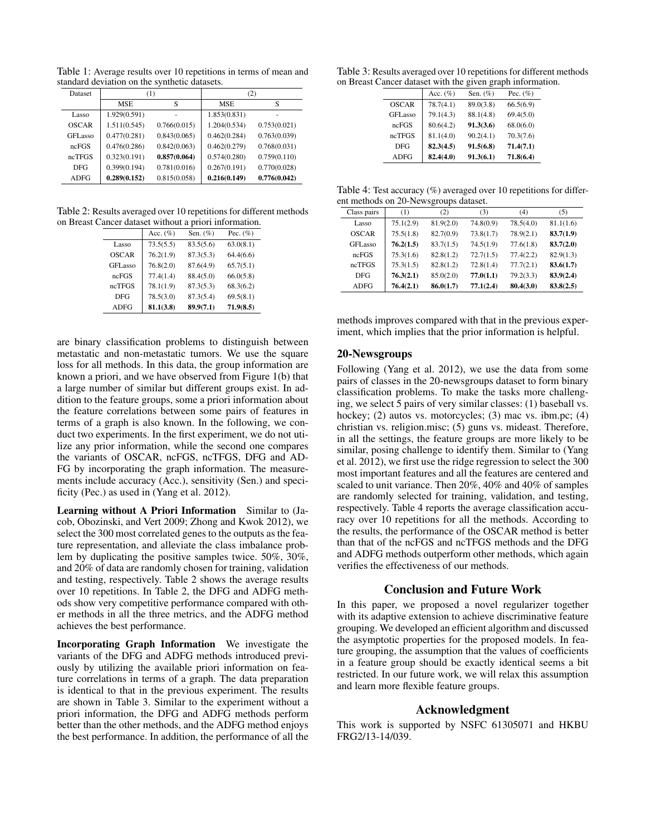Table 1: Average results over 10 repetitions in terms of mean and standard deviation on the synthetic datasets.

| <b>Dataset</b>      | (1)          |              | (2)          |              |
|---------------------|--------------|--------------|--------------|--------------|
|                     | <b>MSE</b>   | S            | <b>MSE</b>   | S            |
| Lasso               | 1.929(0.591) |              | 1.853(0.831) |              |
| OSCAR               | 1.511(0.545) | 0.766(0.015) | 1.204(0.534) | 0.753(0.021) |
| GFL <sub>asso</sub> | 0.477(0.281) | 0.843(0.065) | 0.462(0.284) | 0.763(0.039) |
| ncFGS               | 0.476(0.286) | 0.842(0.063) | 0.462(0.279) | 0.768(0.031) |
| ncTFGS              | 0.323(0.191) | 0.857(0.064) | 0.574(0.280) | 0.759(0.110) |
| <b>DFG</b>          | 0.399(0.194) | 0.781(0.016) | 0.267(0.191) | 0.770(0.028) |
| <b>ADFG</b>         | 0.289(0.152) | 0.815(0.058) | 0.216(0.149) | 0.776(0.042) |

Table 2: Results averaged over 10 repetitions for different methods on Breast Cancer dataset without a priori information.

|              | ancer aanasel written a priori information: |             |             |
|--------------|---------------------------------------------|-------------|-------------|
|              | Acc. $(\%)$                                 | Sen. $(\%)$ | Pec. $(\%)$ |
| Lasso        | 73.5(5.5)                                   | 83.5(5.6)   | 63.0(8.1)   |
| <b>OSCAR</b> | 76.2(1.9)                                   | 87.3(5.3)   | 64.4(6.6)   |
| GFLasso      | 76.8(2.0)                                   | 87.6(4.9)   | 65.7(5.1)   |
| ncFGS        | 77.4(1.4)                                   | 88.4(5.0)   | 66.0(5.8)   |
| ncTFGS       | 78.1(1.9)                                   | 87.3(5.3)   | 68.3(6.2)   |
| <b>DFG</b>   | 78.5(3.0)                                   | 87.3(5.4)   | 69.5(8.1)   |
| <b>ADFG</b>  | 81.1(3.8)                                   | 89.9(7.1)   | 71.9(8.5)   |

are binary classification problems to distinguish between metastatic and non-metastatic tumors. We use the square loss for all methods. In this data, the group information are known a priori, and we have observed from Figure 1(b) that a large number of similar but different groups exist. In addition to the feature groups, some a priori information about the feature correlations between some pairs of features in terms of a graph is also known. In the following, we conduct two experiments. In the first experiment, we do not utilize any prior information, while the second one compares the variants of OSCAR, ncFGS, ncTFGS, DFG and AD-FG by incorporating the graph information. The measurements include accuracy (Acc.), sensitivity (Sen.) and specificity (Pec.) as used in (Yang et al. 2012).

Learning without A Priori Information Similar to (Jacob, Obozinski, and Vert 2009; Zhong and Kwok 2012), we select the 300 most correlated genes to the outputs as the feature representation, and alleviate the class imbalance problem by duplicating the positive samples twice. 50%, 30%, and 20% of data are randomly chosen for training, validation and testing, respectively. Table 2 shows the average results over 10 repetitions. In Table 2, the DFG and ADFG methods show very competitive performance compared with other methods in all the three metrics, and the ADFG method achieves the best performance.

Incorporating Graph Information We investigate the variants of the DFG and ADFG methods introduced previously by utilizing the available priori information on feature correlations in terms of a graph. The data preparation is identical to that in the previous experiment. The results are shown in Table 3. Similar to the experiment without a priori information, the DFG and ADFG methods perform better than the other methods, and the ADFG method enjoys the best performance. In addition, the performance of all the

Table 3: Results averaged over 10 repetitions for different methods on Breast Cancer dataset with the given graph information.

|              | Acc. $(\%)$ | Sen. $(\%)$ | Pec. $(\%)$ |
|--------------|-------------|-------------|-------------|
| <b>OSCAR</b> | 78.7(4.1)   | 89.0(3.8)   | 66.5(6.9)   |
| GFLasso      | 79.1(4.3)   | 88.1(4.8)   | 69.4(5.0)   |
| ncFGS        | 80.6(4.2)   | 91.3(3.6)   | 68.0(6.0)   |
| ncTFGS       | 81.1(4.0)   | 90.2(4.1)   | 70.3(7.6)   |
| <b>DFG</b>   | 82.3(4.5)   | 91.5(6.8)   | 71.4(7.1)   |
| <b>ADFG</b>  | 82.4(4.0)   | 91.3(6.1)   | 71.8(6.4)   |
|              |             |             |             |

Table 4: Test accuracy (%) averaged over 10 repetitions for different methods on 20-Newsgroups dataset.

| Class pairs         | (1)       | (2)       | (3)       | (4)       | (5)       |
|---------------------|-----------|-----------|-----------|-----------|-----------|
| Lasso               | 75.1(2.9) | 81.9(2.0) | 74.8(0.9) | 78.5(4.0) | 81.1(1.6) |
| <b>OSCAR</b>        | 75.5(1.8) | 82.7(0.9) | 73.8(1.7) | 78.9(2.1) | 83.7(1.9) |
| GFL <sub>asso</sub> | 76.2(1.5) | 83.7(1.5) | 74.5(1.9) | 77.6(1.8) | 83.7(2.0) |
| ncFGS               | 75.3(1.6) | 82.8(1.2) | 72.7(1.5) | 77.4(2.2) | 82.9(1.3) |
| ncTFGS              | 75.3(1.5) | 82.8(1.2) | 72.8(1.4) | 77.7(2.1) | 83.6(1.7) |
| <b>DFG</b>          | 76.3(2.1) | 85.0(2.0) | 77.0(1.1) | 79.2(3.3) | 83.9(2.4) |
| <b>ADFG</b>         | 76.4(2.1) | 86.0(1.7) | 77.1(2.4) | 80.4(3.0) | 83.8(2.5) |

methods improves compared with that in the previous experiment, which implies that the prior information is helpful.

# 20-Newsgroups

Following (Yang et al. 2012), we use the data from some pairs of classes in the 20-newsgroups dataset to form binary classification problems. To make the tasks more challenging, we select 5 pairs of very similar classes: (1) baseball vs. hockey; (2) autos vs. motorcycles; (3) mac vs. ibm.pc; (4) christian vs. religion.misc; (5) guns vs. mideast. Therefore, in all the settings, the feature groups are more likely to be similar, posing challenge to identify them. Similar to (Yang et al. 2012), we first use the ridge regression to select the 300 most important features and all the features are centered and scaled to unit variance. Then 20%, 40% and 40% of samples are randomly selected for training, validation, and testing, respectively. Table 4 reports the average classification accuracy over 10 repetitions for all the methods. According to the results, the performance of the OSCAR method is better than that of the ncFGS and ncTFGS methods and the DFG and ADFG methods outperform other methods, which again verifies the effectiveness of our methods.

### Conclusion and Future Work

In this paper, we proposed a novel regularizer together with its adaptive extension to achieve discriminative feature grouping. We developed an efficient algorithm and discussed the asymptotic properties for the proposed models. In feature grouping, the assumption that the values of coefficients in a feature group should be exactly identical seems a bit restricted. In our future work, we will relax this assumption and learn more flexible feature groups.

# Acknowledgment

This work is supported by NSFC 61305071 and HKBU FRG2/13-14/039.